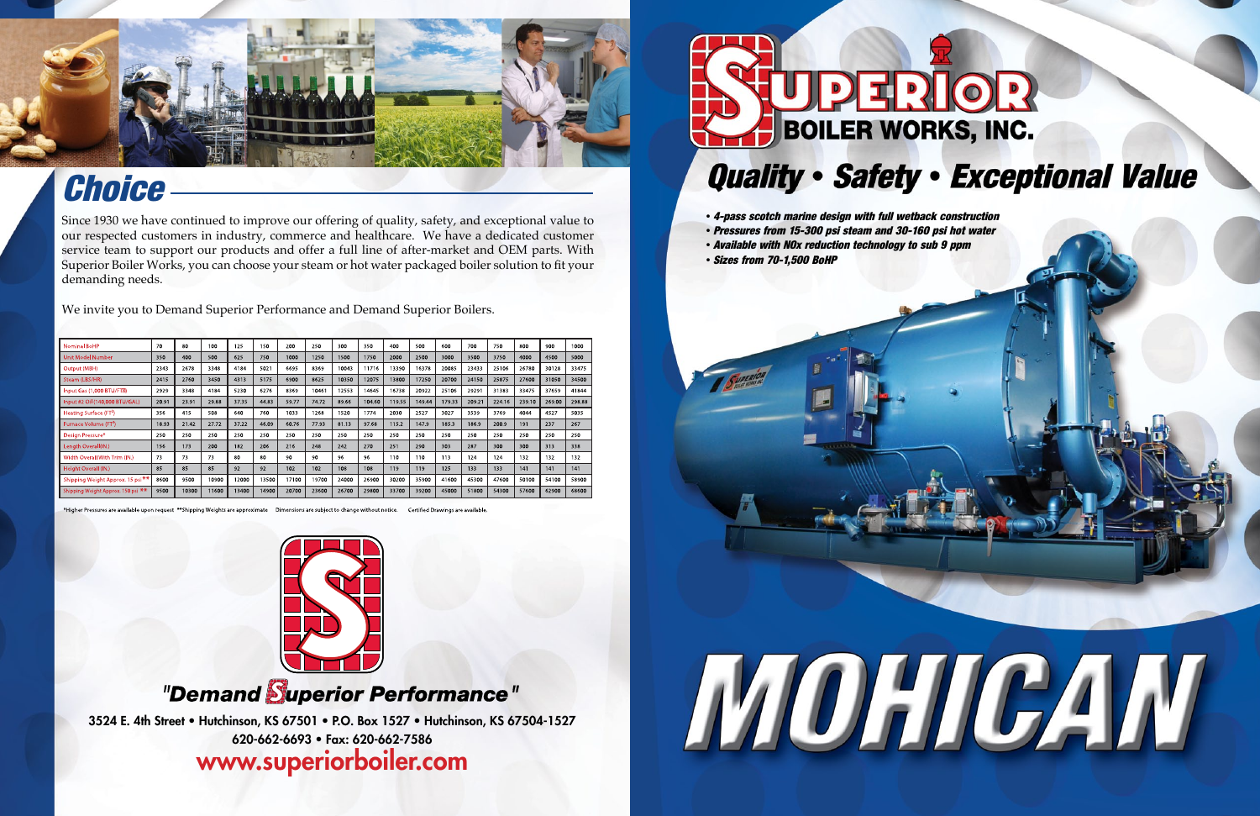3524 E. 4th Street • Hutchinson, KS 67501 • P.O. Box 1527 • Hutchinson, KS 67504-1527 620-662-6693 • Fax: 620-662-7586 www.superiorboiler.com



- *4-pass scotch marine design with full wetback construction*
- *Pressures from 15-300 psi steam and 30-160 psi hot water*
- *Available with NOx reduction technology to sub 9 ppm*
- *Sizes from 70-1,500 BoHP*





## *Choice*

Since 1930 we have continued to improve our offering of quality, safety, and exceptional value to our respected customers in industry, commerce and healthcare. We have a dedicated customer service team to support our products and offer a full line of after-market and OEM parts. With Superior Boiler Works, you can choose your steam or hot water packaged boiler solution to fit your demanding needs.

We invite you to Demand Superior Performance and Demand Superior Boilers.

| <b>Nominal BoHP</b>                          | 70    | 80    | 100   | 125   | 150   | 200   | 250   | 300   | 350    | 400    | 500    | 600    | 700    | 750    | 800    | 900    | 1000   |
|----------------------------------------------|-------|-------|-------|-------|-------|-------|-------|-------|--------|--------|--------|--------|--------|--------|--------|--------|--------|
| <b>Unit Model Number</b>                     | 350   | 400   | 500   | 625   | 750   | 1000  | 1250  | 1500  | 1750   | 2000   | 2500   | 3000   | 3500   | 3750   | 4000   | 4500   | 5000   |
| Output (MBH)                                 | 2343  | 2678  | 3348  | 4184  | 5021  | 6695  | 8369  | 10043 | 11716  | 13390  | 16378  | 20085  | 23433  | 25106  | 26780  | 30128  | 33475  |
| Steam (LBS/HR)                               | 2415  | 2760  | 3450  | 4313  | 5175  | 6900  | 8625  | 10350 | 12075  | 13800  | 17250  | 20700  | 24150  | 25875  | 27600  | 31050  | 34500  |
| Input Gas (1,000 BTU/FTM)                    | 2929  | 3348  | 4184  | 5230  | 6276  | 8369  | 10461 | 12553 | 14645  | 16738  | 20922  | 25106  | 29291  | 31383  | 33475  | 37659  | 41844  |
| Input #2 Oil (140,000 BTU/GAL)               | 20.91 | 23.91 | 29.88 | 37.35 | 44.83 | 59.77 | 74.72 | 89.66 | 104.60 | 119.55 | 149.44 | 179.33 | 209.21 | 224.16 | 239.10 | 269.00 | 298.88 |
| Heating Surface (FT <sup>2</sup> )           | 356   | 415   | 508   | 640   | 760   | 1033  | 1268  | 1520  | 1774   | 2030   | 2527   | 3027   | 3539   | 3769   | 4044   | 4527   | 5035   |
| Furnace Volume (FT <sup>3</sup> )            | 18.93 | 21.42 | 27.72 | 37.22 | 46.09 | 60.76 | 77.93 | 81.13 | 97.68  | 115.2  | 147.9  | 185.3  | 186.9  | 200.9  | 191    | 237    | 267    |
| Design Pressure*                             | 250   | 250   | 250   | 250   | 250   | 250   | 250   | 250   | 250    | 250    | 250    | 250    | 250    | 250    | 250    | 250    | 250    |
| Lenath Overall(IN.)                          | 156   | 173   | 200   | 182   | 206   | 216   | 248   | 242   | 270    | 251    | 290    | 303    | 287    | 300    | 300    | 313    | 338    |
| Width Overall With Trim (IN.)                | 73    | 73    | 73    | 80    | 80    | 90    | 90    | 96    | 96     | 110    | 110    | 113    | 124    | 124    | 132    | 132    | 132    |
| Height Overall (JN.)                         | 85    | 85    | 85    | 92    | 92    | 102   | 102   | 108   | 108    | 119    | 119    | 125    | 133    | 133    | 141    | 141    | 141    |
| Shipping Weight Approx. 15 psi <sup>**</sup> | 8600  | 9500  | 10900 | 12000 | 13500 | 17100 | 19700 | 24000 | 26900  | 30200  | 35900  | 41600  | 45300  | 47600  | 50100  | 54100  | 58900  |
| Shipping Weight Approx. 150 psi **           | 9500  | 10300 | 11600 | 13400 | 14900 | 20700 | 23600 | 26700 | 29800  | 33700  | 39200  | 45000  | 51800  | 54300  | 57600  | 62900  | 68600  |

Dimensions are subject to change without notice



### "Demand Superior Performance"